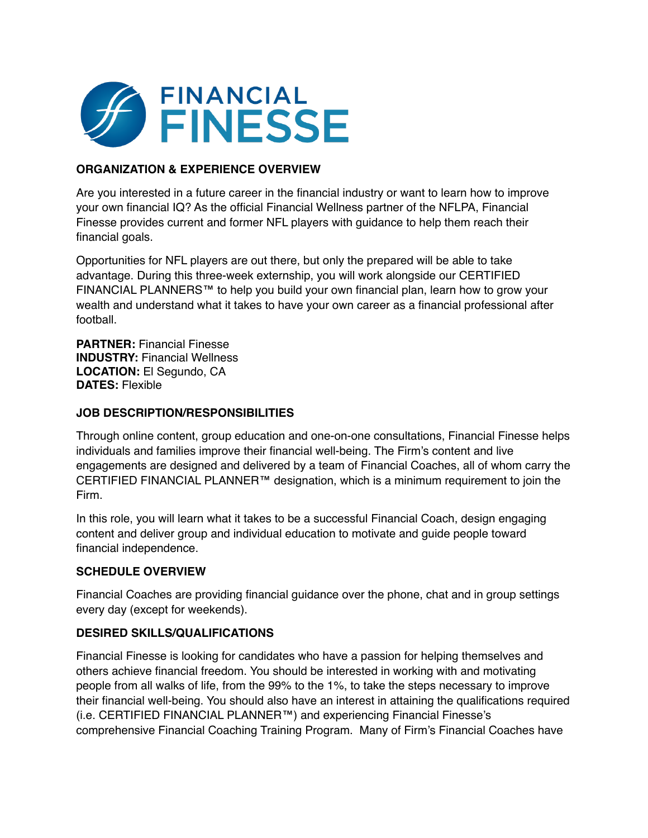

## **ORGANIZATION & EXPERIENCE OVERVIEW**

Are you interested in a future career in the financial industry or want to learn how to improve your own financial IQ? As the official Financial Wellness partner of the NFLPA, Financial Finesse provides current and former NFL players with guidance to help them reach their financial goals.

Opportunities for NFL players are out there, but only the prepared will be able to take advantage. During this three-week externship, you will work alongside our CERTIFIED FINANCIAL PLANNERS™ to help you build your own financial plan, learn how to grow your wealth and understand what it takes to have your own career as a financial professional after football.

**PARTNER:** Financial Finesse **INDUSTRY:** Financial Wellness **LOCATION:** El Segundo, CA **DATES:** Flexible

## **JOB DESCRIPTION/RESPONSIBILITIES**

Through online content, group education and one-on-one consultations, Financial Finesse helps individuals and families improve their financial well-being. The Firm's content and live engagements are designed and delivered by a team of Financial Coaches, all of whom carry the CERTIFIED FINANCIAL PLANNER™ designation, which is a minimum requirement to join the Firm.

In this role, you will learn what it takes to be a successful Financial Coach, design engaging content and deliver group and individual education to motivate and guide people toward financial independence.

## **SCHEDULE OVERVIEW**

Financial Coaches are providing financial guidance over the phone, chat and in group settings every day (except for weekends).

## **DESIRED SKILLS/QUALIFICATIONS**

Financial Finesse is looking for candidates who have a passion for helping themselves and others achieve financial freedom. You should be interested in working with and motivating people from all walks of life, from the 99% to the 1%, to take the steps necessary to improve their financial well-being. You should also have an interest in attaining the qualifications required (i.e. CERTIFIED FINANCIAL PLANNER™) and experiencing Financial Finesse's comprehensive Financial Coaching Training Program. Many of Firm's Financial Coaches have